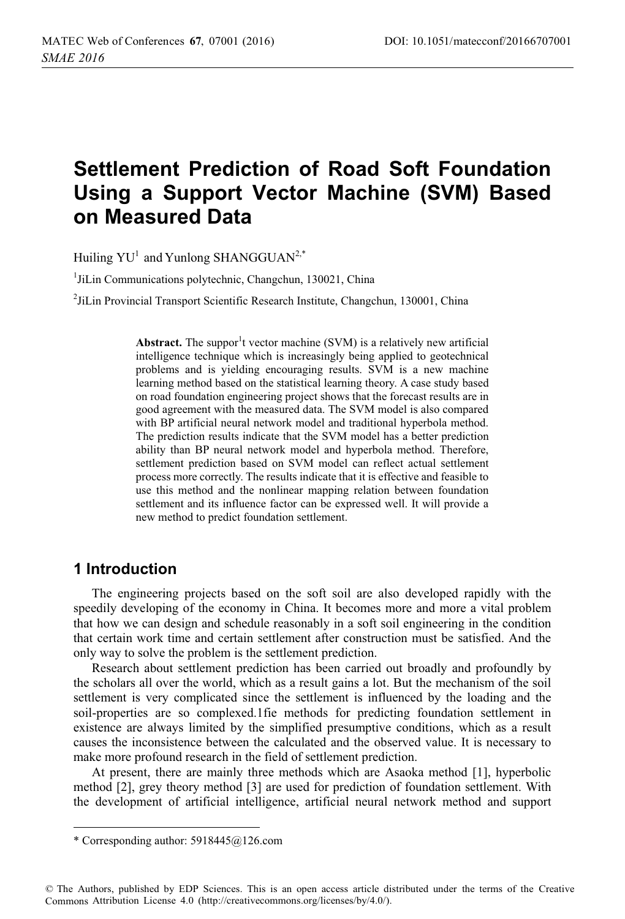# **Settlement Prediction of Road Soft Foundation Using a Support Vector Machine (SVM) Based on Measured Data**

Huiling  $YU^1$  and Yunlong SHANGGUAN<sup>2,\*</sup>

1 JiLin Communications polytechnic, Changchun, 130021, China

2 JiLin Provincial Transport Scientific Research Institute, Changchun, 130001, China

Abstract. The suppor<sup>1</sup>t vector machine  $(SVM)$  is a relatively new artificial intelligence technique which is increasingly being applied to geotechnical problems and is yielding encouraging results. SVM is a new machine learning method based on the statistical learning theory. A case study based on road foundation engineering project shows that the forecast results are in good agreement with the measured data. The SVM model is also compared with BP artificial neural network model and traditional hyperbola method. The prediction results indicate that the SVM model has a better prediction ability than BP neural network model and hyperbola method. Therefore, settlement prediction based on SVM model can reflect actual settlement process more correctly. The results indicate that it is effective and feasible to use this method and the nonlinear mapping relation between foundation settlement and its influence factor can be expressed well. It will provide a new method to predict foundation settlement.

### **1 Introduction**

-------------------------------

The engineering projects based on the soft soil are also developed rapidly with the speedily developing of the economy in China. It becomes more and more a vital problem that how we can design and schedule reasonably in a soft soil engineering in the condition that certain work time and certain settlement after construction must be satisfied. And the only way to solve the problem is the settlement prediction.

Research about settlement prediction has been carried out broadly and profoundly by the scholars all over the world, which as a result gains a lot. But the mechanism of the soil settlement is very complicated since the settlement is influenced by the loading and the soil-properties are so complexed.1fie methods for predicting foundation settlement in existence are always limited by the simplified presumptive conditions, which as a result causes the inconsistence between the calculated and the observed value. It is necessary to make more profound research in the field of settlement prediction.

At present, there are mainly three methods which are Asaoka method [1], hyperbolic method [2], grey theory method [3] are used for prediction of foundation settlement. With the development of artificial intelligence, artificial neural network method and support

-----------------------

<sup>-</sup>-----\* Corresponding author: 5918445@126.com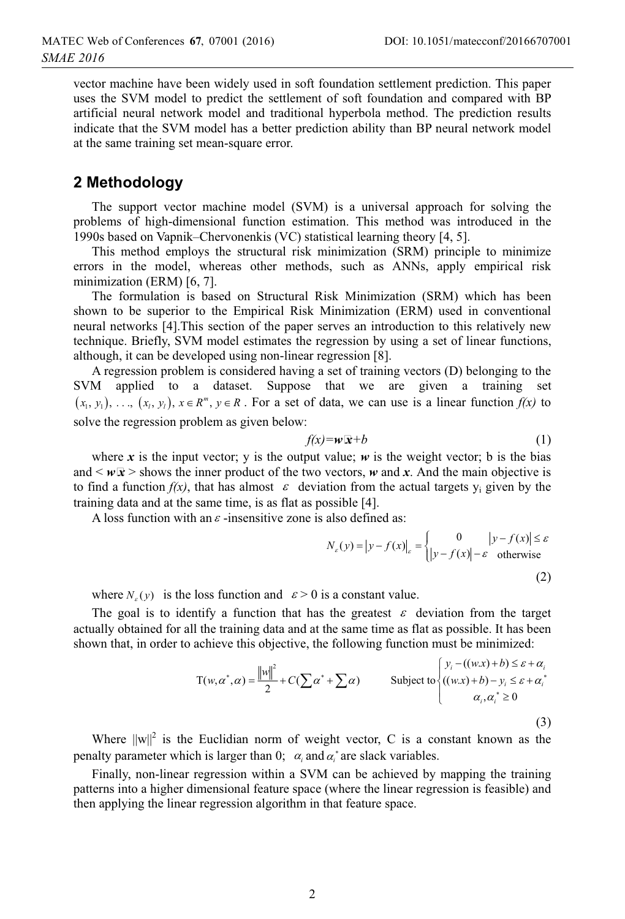vector machine have been widely used in soft foundation settlement prediction. This paper uses the SVM model to predict the settlement of soft foundation and compared with BP artificial neural network model and traditional hyperbola method. The prediction results indicate that the SVM model has a better prediction ability than BP neural network model at the same training set mean-square error.

## **2 Methodology**

The support vector machine model (SVM) is a universal approach for solving the problems of high-dimensional function estimation. This method was introduced in the 1990s based on Vapnik–Chervonenkis (VC) statistical learning theory [4, 5].

This method employs the structural risk minimization (SRM) principle to minimize errors in the model, whereas other methods, such as ANNs, apply empirical risk minimization (ERM) [6, 7].

The formulation is based on Structural Risk Minimization (SRM) which has been shown to be superior to the Empirical Risk Minimization (ERM) used in conventional neural networks [4].This section of the paper serves an introduction to this relatively new technique. Briefly, SVM model estimates the regression by using a set of linear functions, although, it can be developed using non-linear regression [8].

A regression problem is considered having a set of training vectors (D) belonging to the SVM applied to a dataset. Suppose that we are given a training set  $(x_1, y_1), \ldots, (x_i, y_i), x \in \mathbb{R}^m$ ,  $y \in \mathbb{R}$ . For a set of data, we can use is a linear function  $f(x)$  to solve the regression problem as given below:

$$
f(x) = w \overline{x} + b \tag{1}
$$

where x is the input vector; y is the output value;  $w$  is the weight vector; b is the bias and  $\lt \omega x$  is shows the inner product of the two vectors,  $\omega$  and x. And the main objective is to find a function  $f(x)$ , that has almost  $\varepsilon$  deviation from the actual targets y<sub>i</sub> given by the training data and at the same time, is as flat as possible [4].

A loss function with an  $\varepsilon$  -insensitive zone is also defined as:

$$
N_{\varepsilon}(y) = |y - f(x)|_{\varepsilon} = \begin{cases} 0 & |y - f(x)| \le \varepsilon \\ |y - f(x)| - \varepsilon & \text{otherwise} \end{cases}
$$
 (2)

where  $N_e(y)$  is the loss function and  $\varepsilon > 0$  is a constant value.

The goal is to identify a function that has the greatest  $\varepsilon$  deviation from the target actually obtained for all the training data and at the same time as flat as possible. It has been shown that, in order to achieve this objective, the following function must be minimized:

$$
T(w, \alpha^*, \alpha) = \frac{\|w\|^2}{2} + C(\sum \alpha^* + \sum \alpha) \qquad \text{Subject to } \begin{cases} y_i - ((w.x) + b) \le \varepsilon + \alpha_i \\ ((w.x) + b) - y_i \le \varepsilon + \alpha_i^* \\ \alpha_i, \alpha_i^* \ge 0 \end{cases}
$$
 (3)

Where  $||w||^2$  is the Euclidian norm of weight vector, C is a constant known as the penalty parameter which is larger than 0;  $\alpha_i$  and  $\alpha_i^*$  are slack variables.

Finally, non-linear regression within a SVM can be achieved by mapping the training patterns into a higher dimensional feature space (where the linear regression is feasible) and then applying the linear regression algorithm in that feature space.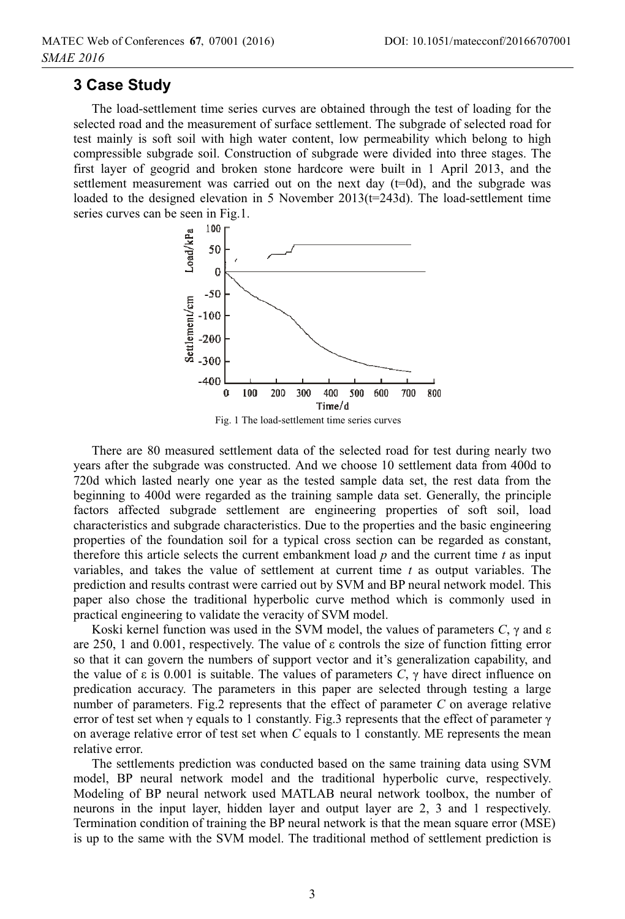#### **3 Case Study**

The load-settlement time series curves are obtained through the test of loading for the selected road and the measurement of surface settlement. The subgrade of selected road for test mainly is soft soil with high water content, low permeability which belong to high compressible subgrade soil. Construction of subgrade were divided into three stages. The first layer of geogrid and broken stone hardcore were built in 1 April 2013, and the settlement measurement was carried out on the next day  $(t=0d)$ , and the subgrade was loaded to the designed elevation in 5 November 2013(t=243d). The load-settlement time series curves can be seen in Fig.1.



There are 80 measured settlement data of the selected road for test during nearly two years after the subgrade was constructed. And we choose 10 settlement data from 400d to 720d which lasted nearly one year as the tested sample data set, the rest data from the beginning to 400d were regarded as the training sample data set. Generally, the principle factors affected subgrade settlement are engineering properties of soft soil, load characteristics and subgrade characteristics. Due to the properties and the basic engineering properties of the foundation soil for a typical cross section can be regarded as constant, therefore this article selects the current embankment load *p* and the current time *t* as input variables, and takes the value of settlement at current time *t* as output variables. The prediction and results contrast were carried out by SVM and BP neural network model. This paper also chose the traditional hyperbolic curve method which is commonly used in practical engineering to validate the veracity of SVM model.

Koski kernel function was used in the SVM model, the values of parameters  $C$ ,  $\gamma$  and  $\varepsilon$ are 250, 1 and 0.001, respectively. The value of  $\varepsilon$  controls the size of function fitting error so that it can govern the numbers of support vector and it's generalization capability, and the value of  $\varepsilon$  is 0.001 is suitable. The values of parameters  $\overline{C}$ ,  $\gamma$  have direct influence on predication accuracy. The parameters in this paper are selected through testing a large number of parameters. Fig.2 represents that the effect of parameter *C* on average relative error of test set when  $\gamma$  equals to 1 constantly. Fig.3 represents that the effect of parameter  $\gamma$ on average relative error of test set when *C* equals to 1 constantly. ME represents the mean relative error.

The settlements prediction was conducted based on the same training data using SVM model, BP neural network model and the traditional hyperbolic curve, respectively. Modeling of BP neural network used MATLAB neural network toolbox, the number of neurons in the input layer, hidden layer and output layer are 2, 3 and 1 respectively. Termination condition of training the BP neural network is that the mean square error (MSE) is up to the same with the SVM model. The traditional method of settlement prediction is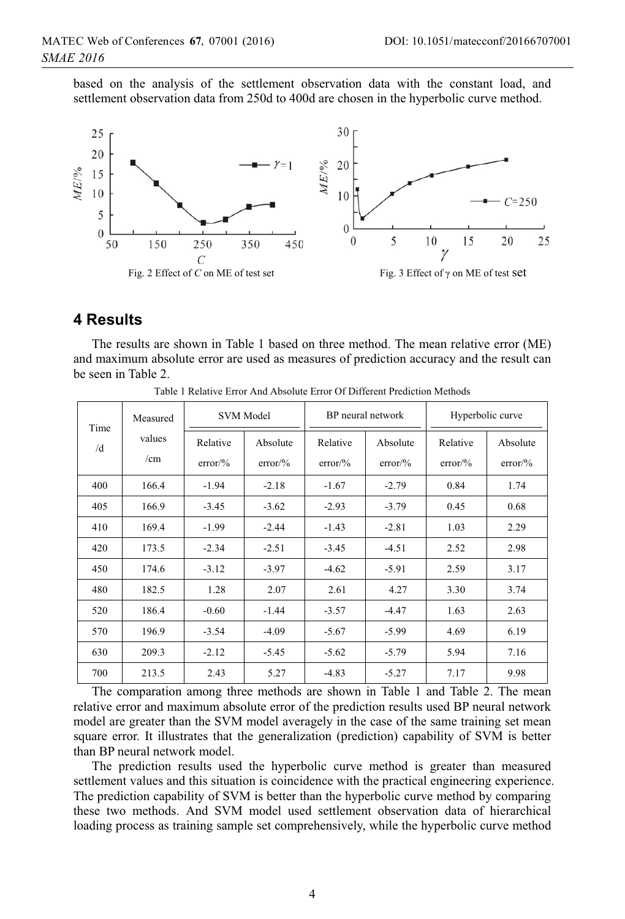based on the analysis of the settlement observation data with the constant load, and settlement observation data from 250d to 400d are chosen in the hyperbolic curve method.



#### **4 Results**

The results are shown in Table 1 based on three method. The mean relative error (ME) and maximum absolute error are used as measures of prediction accuracy and the result can be seen in Table 2.

| Time<br>/d | Measured<br>values<br>/cm | <b>SVM</b> Model      |                                | BP neural network              |                                | Hyperbolic curve      |                       |
|------------|---------------------------|-----------------------|--------------------------------|--------------------------------|--------------------------------|-----------------------|-----------------------|
|            |                           | Relative<br>$error\%$ | Absolute<br>$error\frac{9}{6}$ | Relative<br>$error\frac{9}{6}$ | Absolute<br>$error\frac{9}{6}$ | Relative<br>$error\%$ | Absolute<br>$error\%$ |
| 400        | 166.4                     | $-1.94$               | $-2.18$                        | $-1.67$                        | $-2.79$                        | 0.84                  | 1.74                  |
| 405        | 166.9                     | $-3.45$               | $-3.62$                        | $-2.93$                        | $-3.79$                        | 0.45                  | 0.68                  |
| 410        | 169.4                     | $-1.99$               | $-2.44$                        | $-1.43$                        | $-2.81$                        | 1.03                  | 2.29                  |
| 420        | 173.5                     | $-2.34$               | $-2.51$                        | $-3.45$                        | $-4.51$                        | 2.52                  | 2.98                  |
| 450        | 174.6                     | $-3.12$               | $-3.97$                        | $-4.62$                        | $-5.91$                        | 2.59                  | 3.17                  |
| 480        | 182.5                     | 1.28                  | 2.07                           | 2.61                           | 4.27                           | 3.30                  | 3.74                  |
| 520        | 186.4                     | $-0.60$               | $-1.44$                        | $-3.57$                        | $-4.47$                        | 1.63                  | 2.63                  |
| 570        | 196.9                     | $-3.54$               | $-4.09$                        | $-5.67$                        | $-5.99$                        | 4.69                  | 6.19                  |
| 630        | 209.3                     | $-2.12$               | $-5.45$                        | $-5.62$                        | $-5.79$                        | 5.94                  | 7.16                  |
| 700        | 213.5                     | 2.43                  | 5.27                           | $-4.83$                        | $-5.27$                        | 7.17                  | 9.98                  |

Table 1 Relative Error And Absolute Error Of Different Prediction Methods

The comparation among three methods are shown in Table 1 and Table 2. The mean relative error and maximum absolute error of the prediction results used BP neural network model are greater than the SVM model averagely in the case of the same training set mean square error. It illustrates that the generalization (prediction) capability of SVM is better than BP neural network model.

The prediction results used the hyperbolic curve method is greater than measured settlement values and this situation is coincidence with the practical engineering experience. The prediction capability of SVM is better than the hyperbolic curve method by comparing these two methods. And SVM model used settlement observation data of hierarchical loading process as training sample set comprehensively, while the hyperbolic curve method